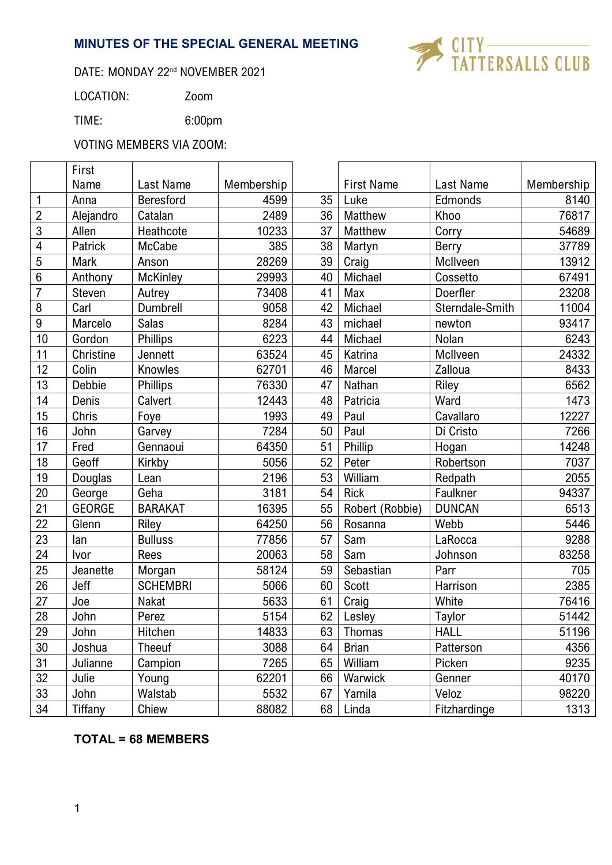# **MINUTES OF THE SPECIAL GENERAL MEETING**



## DATE: MONDAY 22<sup>nd</sup> NOVEMBER 2021

LOCATION: Zoom

TIME: 6:00pm

VOTING MEMBERS VIA ZOOM:

|                         | First         |                 |            |    |                   |                 |            |
|-------------------------|---------------|-----------------|------------|----|-------------------|-----------------|------------|
|                         | Name          | Last Name       | Membership |    | <b>First Name</b> | Last Name       | Membership |
| $\mathbf{1}$            | Anna          | Beresford       | 4599       | 35 | Luke              | Edmonds         | 8140       |
| $\overline{2}$          | Alejandro     | Catalan         | 2489       | 36 | Matthew           | Khoo            | 76817      |
| $\mathbf{3}$            | Allen         | Heathcote       | 10233      | 37 | Matthew           | Corry           | 54689      |
| $\overline{\mathbf{4}}$ | Patrick       | McCabe          | 385        | 38 | Martyn            | <b>Berry</b>    | 37789      |
| $\overline{5}$          | Mark          | Anson           | 28269      | 39 | Craig             | McIlveen        | 13912      |
| $\boldsymbol{6}$        | Anthony       | <b>McKinley</b> | 29993      | 40 | Michael           | Cossetto        | 67491      |
| $\overline{7}$          | Steven        | Autrey          | 73408      | 41 | Max               | Doerfler        | 23208      |
| $\, 8$                  | Carl          | Dumbrell        | 9058       | 42 | Michael           | Sterndale-Smith | 11004      |
| $\boldsymbol{9}$        | Marcelo       | <b>Salas</b>    | 8284       | 43 | michael           | newton          | 93417      |
| 10                      | Gordon        | Phillips        | 6223       | 44 | Michael           | Nolan           | 6243       |
| 11                      | Christine     | Jennett         | 63524      | 45 | Katrina           | McIlveen        | 24332      |
| 12                      | Colin         | Knowles         | 62701      | 46 | Marcel            | Zalloua         | 8433       |
| 13                      | Debbie        | Phillips        | 76330      | 47 | Nathan            | Riley           | 6562       |
| 14                      | Denis         | Calvert         | 12443      | 48 | Patricia          | Ward            | 1473       |
| 15                      | Chris         | Foye            | 1993       | 49 | Paul              | Cavallaro       | 12227      |
| 16                      | John          | Garvey          | 7284       | 50 | Paul              | Di Cristo       | 7266       |
| 17                      | Fred          | Gennaoui        | 64350      | 51 | Phillip           | Hogan           | 14248      |
| 18                      | Geoff         | Kirkby          | 5056       | 52 | Peter             | Robertson       | 7037       |
| 19                      | Douglas       | Lean            | 2196       | 53 | William           | Redpath         | 2055       |
| 20                      | George        | Geha            | 3181       | 54 | <b>Rick</b>       | Faulkner        | 94337      |
| 21                      | <b>GEORGE</b> | <b>BARAKAT</b>  | 16395      | 55 | Robert (Robbie)   | <b>DUNCAN</b>   | 6513       |
| 22                      | Glenn         | Riley           | 64250      | 56 | Rosanna           | Webb            | 5446       |
| 23                      | lan           | <b>Bulluss</b>  | 77856      | 57 | Sam               | LaRocca         | 9288       |
| 24                      | Ivor          | Rees            | 20063      | 58 | Sam               | Johnson         | 83258      |
| 25                      | Jeanette      | Morgan          | 58124      | 59 | Sebastian         | Parr            | 705        |
| 26                      | Jeff          | <b>SCHEMBRI</b> | 5066       | 60 | <b>Scott</b>      | Harrison        | 2385       |
| 27                      | Joe           | Nakat           | 5633       | 61 | Craig             | White           | 76416      |
| 28                      | John          | Perez           | 5154       | 62 | Lesley            | Taylor          | 51442      |
| 29                      | John          | Hitchen         | 14833      | 63 | <b>Thomas</b>     | <b>HALL</b>     | 51196      |
| 30                      | Joshua        | Theeuf          | 3088       | 64 | <b>Brian</b>      | Patterson       | 4356       |
| 31                      | Julianne      | Campion         | 7265       | 65 | William           | Picken          | 9235       |
| 32                      | Julie         | Young           | 62201      | 66 | Warwick           | Genner          | 40170      |
| 33                      | John          | Walstab         | 5532       | 67 | Yamila            | Veloz           | 98220      |
| 34                      | Tiffany       | Chiew           | 88082      | 68 | Linda             | Fitzhardinge    | 1313       |

# **TOTAL = 68 MEMBERS**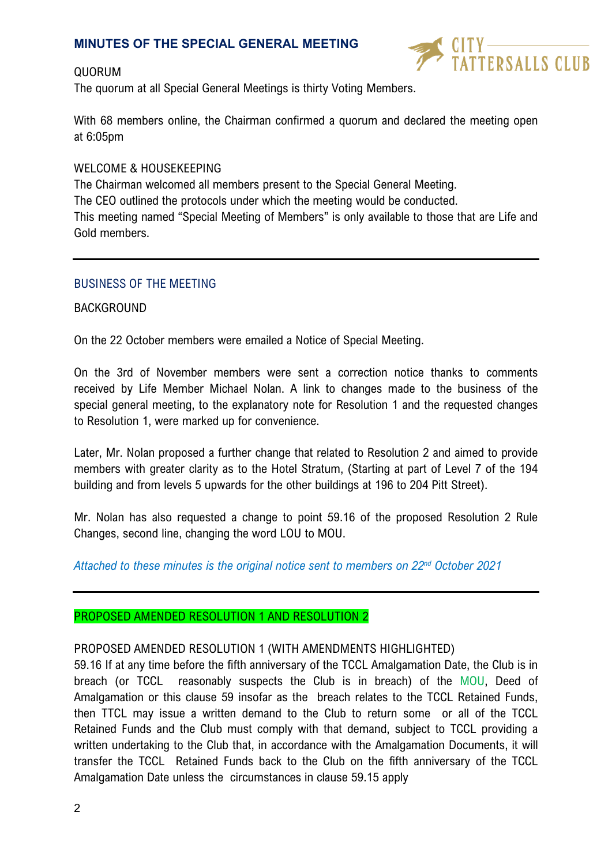### **MINUTES OF THE SPECIAL GENERAL MEETING**

### QUORUM

I<br>TERSALLS CLUB

The quorum at all Special General Meetings is thirty Voting Members.

With 68 members online, the Chairman confirmed a quorum and declared the meeting open at 6:05pm

### WELCOME & HOUSEKEEPING

The Chairman welcomed all members present to the Special General Meeting. The CEO outlined the protocols under which the meeting would be conducted. This meeting named "Special Meeting of Members" is only available to those that are Life and Gold members.

### BUSINESS OF THE MEETING

#### BACKGROUND

On the 22 October members were emailed a Notice of Special Meeting.

On the 3rd of November members were sent a correction notice thanks to comments received by Life Member Michael Nolan. A link to changes made to the business of the special general meeting, to the explanatory note for Resolution 1 and the requested changes to Resolution 1, were marked up for convenience.

Later, Mr. Nolan proposed a further change that related to Resolution 2 and aimed to provide members with greater clarity as to the Hotel Stratum, (Starting at part of Level 7 of the 194 building and from levels 5 upwards for the other buildings at 196 to 204 Pitt Street).

Mr. Nolan has also requested a change to point 59.16 of the proposed Resolution 2 Rule Changes, second line, changing the word LOU to MOU.

*Attached to these minutes is the original notice sent to members on 22nd October 2021*

#### PROPOSED AMENDED RESOLUTION 1 AND RESOLUTION 2

### PROPOSED AMENDED RESOLUTION 1 (WITH AMENDMENTS HIGHLIGHTED)

59.16 If at any time before the fifth anniversary of the TCCL Amalgamation Date, the Club is in breach (or TCCL reasonably suspects the Club is in breach) of the MOU, Deed of Amalgamation or this clause 59 insofar as the breach relates to the TCCL Retained Funds, then TTCL may issue a written demand to the Club to return some or all of the TCCL Retained Funds and the Club must comply with that demand, subject to TCCL providing a written undertaking to the Club that, in accordance with the Amalgamation Documents, it will transfer the TCCL Retained Funds back to the Club on the fifth anniversary of the TCCL Amalgamation Date unless the circumstances in clause 59.15 apply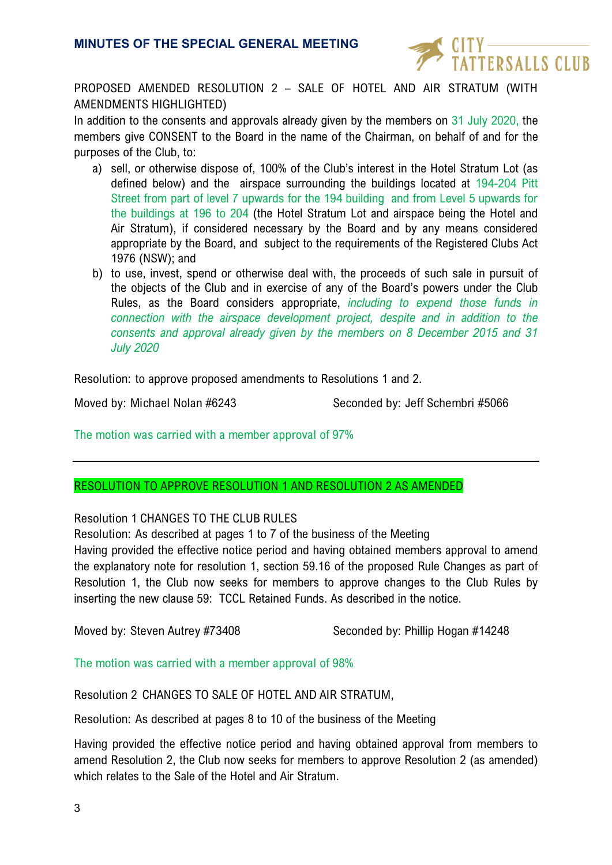

PROPOSED AMENDED RESOLUTION 2 – SALE OF HOTEL AND AIR STRATUM (WITH AMENDMENTS HIGHLIGHTED)

In addition to the consents and approvals already given by the members on 31 July 2020, the members give CONSENT to the Board in the name of the Chairman, on behalf of and for the purposes of the Club, to:

- a) sell, or otherwise dispose of, 100% of the Club's interest in the Hotel Stratum Lot (as defined below) and the airspace surrounding the buildings located at 194-204 Pitt Street from part of level 7 upwards for the 194 building and from Level 5 upwards for the buildings at 196 to 204 (the Hotel Stratum Lot and airspace being the Hotel and Air Stratum), if considered necessary by the Board and by any means considered appropriate by the Board, and subject to the requirements of the Registered Clubs Act 1976 (NSW); and
- b) to use, invest, spend or otherwise deal with, the proceeds of such sale in pursuit of the objects of the Club and in exercise of any of the Board's powers under the Club Rules, as the Board considers appropriate, *including to expend those funds in connection with the airspace development project, despite and in addition to the consents and approval already given by the members on 8 December 2015 and 31 July 2020*

Resolution: to approve proposed amendments to Resolutions 1 and 2.

Moved by: Michael Nolan #6243 Seconded by: Jeff Schembri #5066

The motion was carried with a member approval of 97%

### RESOLUTION TO APPROVE RESOLUTION 1 AND RESOLUTION 2 AS AMENDED

Resolution 1 CHANGES TO THE CLUB RULES

Resolution: As described at pages 1 to 7 of the business of the Meeting

Having provided the effective notice period and having obtained members approval to amend the explanatory note for resolution 1, section 59.16 of the proposed Rule Changes as part of Resolution 1, the Club now seeks for members to approve changes to the Club Rules by inserting the new clause 59: TCCL Retained Funds. As described in the notice.

Moved by: Steven Autrey #73408 Seconded by: Phillip Hogan #14248

The motion was carried with a member approval of 98%

Resolution 2 CHANGES TO SALE OF HOTEL AND AIR STRATUM,

Resolution: As described at pages 8 to 10 of the business of the Meeting

Having provided the effective notice period and having obtained approval from members to amend Resolution 2, the Club now seeks for members to approve Resolution 2 (as amended) which relates to the Sale of the Hotel and Air Stratum.